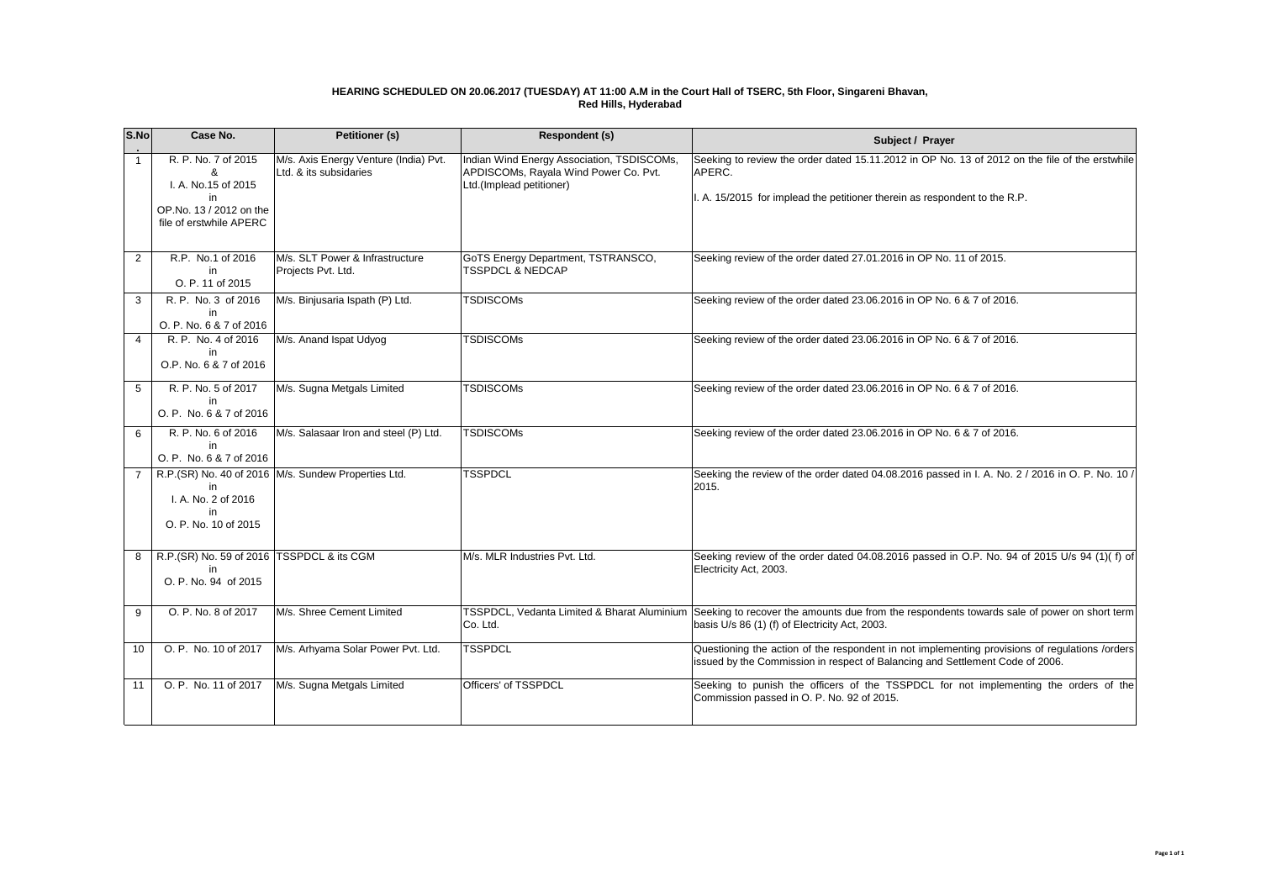## **HEARING SCHEDULED ON 20.06.2017 (TUESDAY) AT 11:00 A.M in the Court Hall of TSERC, 5th Floor, Singareni Bhavan, Red Hills, Hyderabad**

| S.No            | Case No.                                                                                                    | <b>Petitioner (s)</b>                                           | <b>Respondent (s)</b>                                                                                           | Subject / Prayer                                                                                                                                                                          |
|-----------------|-------------------------------------------------------------------------------------------------------------|-----------------------------------------------------------------|-----------------------------------------------------------------------------------------------------------------|-------------------------------------------------------------------------------------------------------------------------------------------------------------------------------------------|
| $\mathbf{1}$    | R. P. No. 7 of 2015<br>&<br>I. A. No.15 of 2015<br>in<br>OP.No. 13 / 2012 on the<br>file of erstwhile APERC | M/s. Axis Energy Venture (India) Pvt.<br>Ltd. & its subsidaries | Indian Wind Energy Association, TSDISCOMs,<br>APDISCOMs, Rayala Wind Power Co. Pvt.<br>Ltd.(Implead petitioner) | Seeking to review the order dated 15.11.2012 in OP No. 13 of 2012 on the file of the erstwhile<br>APERC.<br>I. A. 15/2015 for implead the petitioner therein as respondent to the R.P.    |
| $\overline{2}$  | R.P. No.1 of 2016<br>in<br>O. P. 11 of 2015                                                                 | M/s. SLT Power & Infrastructure<br>Projects Pvt. Ltd.           | GoTS Energy Department, TSTRANSCO,<br><b>TSSPDCL &amp; NEDCAP</b>                                               | Seeking review of the order dated 27.01.2016 in OP No. 11 of 2015.                                                                                                                        |
| 3               | R. P. No. 3 of 2016<br>in<br>O. P. No. 6 & 7 of 2016                                                        | M/s. Binjusaria Ispath (P) Ltd.                                 | <b>TSDISCOMs</b>                                                                                                | Seeking review of the order dated 23.06.2016 in OP No. 6 & 7 of 2016.                                                                                                                     |
| 4               | R. P. No. 4 of 2016<br>in<br>O.P. No. 6 & 7 of 2016                                                         | M/s. Anand Ispat Udyog                                          | <b>TSDISCOMs</b>                                                                                                | Seeking review of the order dated 23.06.2016 in OP No. 6 & 7 of 2016.                                                                                                                     |
| 5               | R. P. No. 5 of 2017<br>in<br>O. P. No. 6 & 7 of 2016                                                        | M/s. Sugna Metgals Limited                                      | <b>TSDISCOMs</b>                                                                                                | Seeking review of the order dated 23.06.2016 in OP No. 6 & 7 of 2016.                                                                                                                     |
| 6               | R. P. No. 6 of 2016<br>in<br>O. P. No. 6 & 7 of 2016                                                        | M/s. Salasaar Iron and steel (P) Ltd.                           | <b>TSDISCOMs</b>                                                                                                | Seeking review of the order dated 23.06.2016 in OP No. 6 & 7 of 2016.                                                                                                                     |
| $\overline{7}$  | I. A. No. 2 of 2016<br>in<br>O. P. No. 10 of 2015                                                           | R.P.(SR) No. 40 of 2016   M/s. Sundew Properties Ltd.           | <b>TSSPDCL</b>                                                                                                  | Seeking the review of the order dated 04.08.2016 passed in I. A. No. 2 / 2016 in O. P. No. 10 /<br>2015.                                                                                  |
| 8               | R.P.(SR) No. 59 of 2016 TSSPDCL & its CGM<br>in.<br>O. P. No. 94 of 2015                                    |                                                                 | M/s. MLR Industries Pvt. Ltd.                                                                                   | Seeking review of the order dated 04.08.2016 passed in O.P. No. 94 of 2015 U/s 94 (1)(f) of<br>Electricity Act, 2003.                                                                     |
| 9               | O. P. No. 8 of 2017                                                                                         | M/s. Shree Cement Limited                                       | Co. Ltd.                                                                                                        | TSSPDCL, Vedanta Limited & Bharat Aluminium Seeking to recover the amounts due from the respondents towards sale of power on short term<br>basis U/s 86 (1) (f) of Electricity Act, 2003. |
| 10 <sup>1</sup> | O. P. No. 10 of 2017                                                                                        | M/s. Arhyama Solar Power Pvt. Ltd.                              | <b>TSSPDCL</b>                                                                                                  | Questioning the action of the respondent in not implementing provisions of regulations /orders<br>issued by the Commission in respect of Balancing and Settlement Code of 2006.           |
| 11              | O. P. No. 11 of 2017                                                                                        | M/s. Sugna Metgals Limited                                      | Officers' of TSSPDCL                                                                                            | Seeking to punish the officers of the TSSPDCL for not implementing the orders of the<br>Commission passed in O. P. No. 92 of 2015.                                                        |